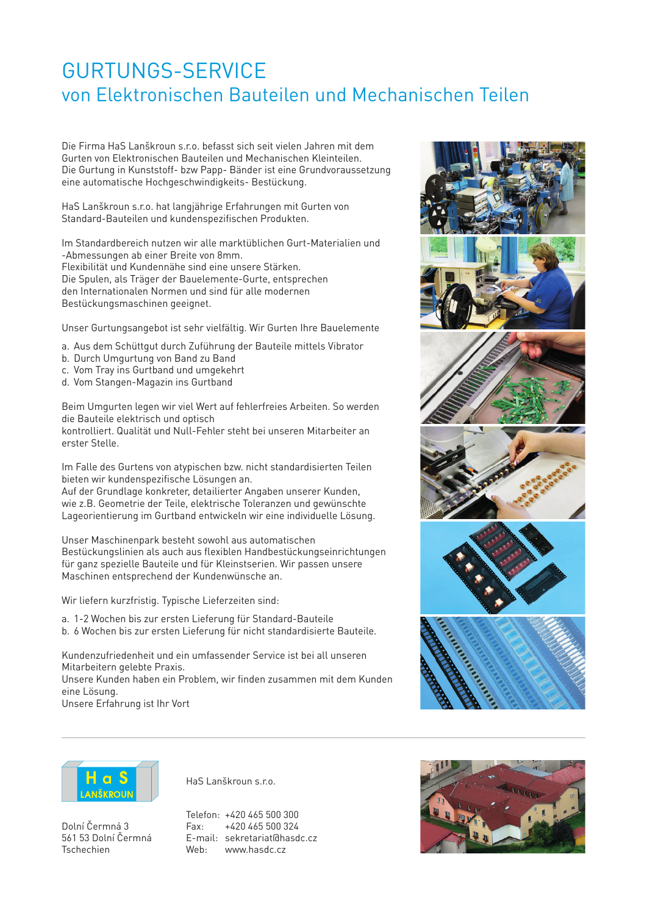## GURTUNGS-SERVICE von Elektronischen Bauteilen und Mechanischen Teilen

Die Firma HaS Lanškroun s.r.o. befasst sich seit vielen Jahren mit dem Gurten von Elektronischen Bauteilen und Mechanischen Kleinteilen. Die Gurtung in Kunststoff- bzw Papp- Bänder ist eine Grundvoraussetzung eine automatische Hochgeschwindigkeits- Bestückung.

HaS Lanškroun s.r.o. hat langjährige Erfahrungen mit Gurten von Standard-Bauteilen und kundenspezifischen Produkten.

Im Standardbereich nutzen wir alle marktüblichen Gurt-Materialien und -Abmessungen ab einer Breite von 8mm. Flexibilität und Kundennähe sind eine unsere Stärken. Die Spulen, als Träger der Bauelemente-Gurte, entsprechen den Internationalen Normen und sind für alle modernen Bestückungsmaschinen geeignet.

Unser Gurtungsangebot ist sehr vielfältig. Wir Gurten Ihre Bauelemente

- a. Aus dem Schüttgut durch Zuführung der Bauteile mittels Vibrator
- b. Durch Umgurtung von Band zu Band
- c. Vom Tray ins Gurtband und umgekehrt
- d. Vom Stangen-Magazin ins Gurtband

Beim Umgurten legen wir viel Wert auf fehlerfreies Arbeiten. So werden die Bauteile elektrisch und optisch

kontrolliert. Qualität und Null-Fehler steht bei unseren Mitarbeiter an erster Stelle.

Im Falle des Gurtens von atypischen bzw. nicht standardisierten Teilen bieten wir kundenspezifische Lösungen an.

Auf der Grundlage konkreter, detailierter Angaben unserer Kunden, wie z.B. Geometrie der Teile, elektrische Toleranzen und gewünschte Lageorientierung im Gurtband entwickeln wir eine individuelle Lösung.

Unser Maschinenpark besteht sowohl aus automatischen Bestückungslinien als auch aus flexiblen Handbestückungseinrichtungen für ganz spezielle Bauteile und für Kleinstserien. Wir passen unsere Maschinen entsprechend der Kundenwünsche an.

Wir liefern kurzfristig. Typische Lieferzeiten sind:

- a. 1-2 Wochen bis zur ersten Lieferung für Standard-Bauteile
- b. 6 Wochen bis zur ersten Lieferung für nicht standardisierte Bauteile.

Kundenzufriedenheit und ein umfassender Service ist bei all unseren Mitarbeitern gelebte Praxis.

Unsere Kunden haben ein Problem, wir finden zusammen mit dem Kunden eine Lösung.

Unsere Erfahrung ist Ihr Vort





Dolní Čermná 3 561 53 Dolní Čermná **Techachian** 

HaS Lanškroun s.r.o.

Telefon: +420 465 500 300 Fax: +420 465 500 324 E-mail: sekretariat@hasdc.cz Web: www.hasdc.cz